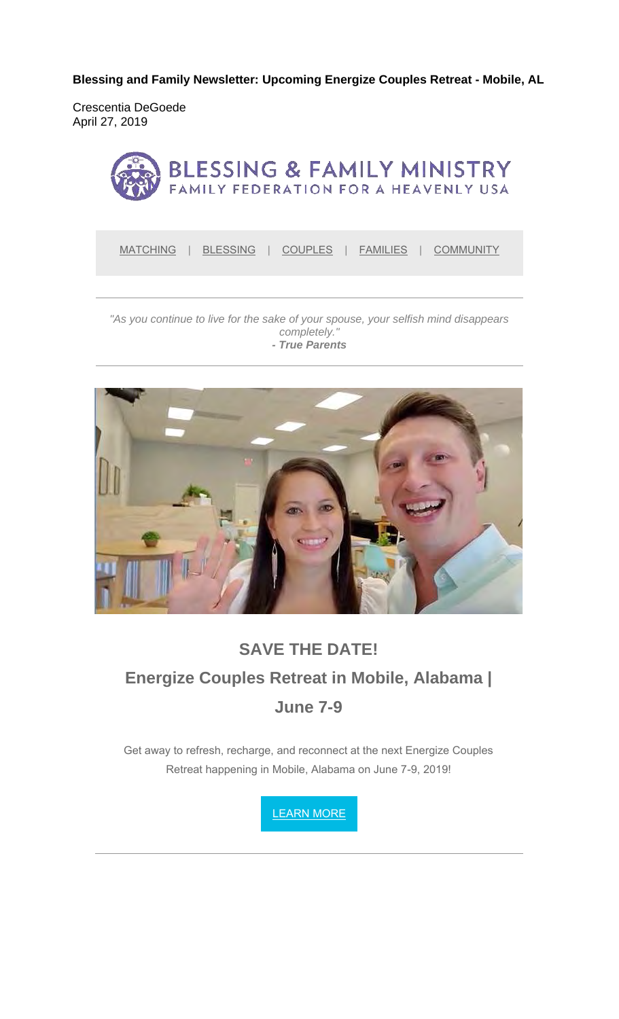**Blessing and Family Newsletter: Upcoming Energize Couples Retreat - Mobile, AL**

Crescentia DeGoede April 27, 2019



MATCHING | BLESSING | COUPLES | FAMILIES | COMMUNITY

#### *"As you continue to live for the sake of your spouse, your selfish mind disappears completely." - True Parents*



# **SAVE THE DATE! Energize Couples Retreat in Mobile, Alabama | June 7-9**

Get away to refresh, recharge, and reconnect at the next Energize Couples Retreat happening in Mobile, Alabama on June 7-9, 2019!

LEARN MORE